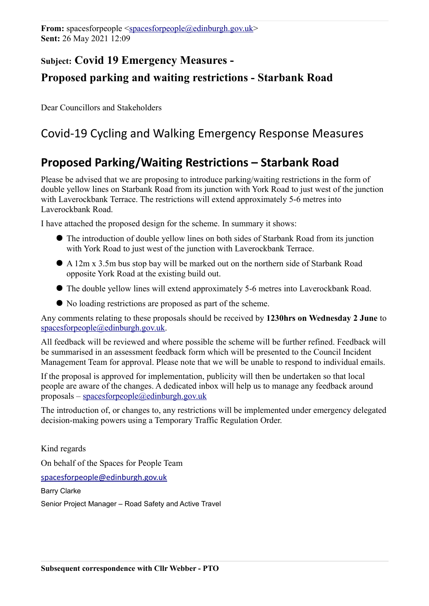## **Subject: Covid 19 Emergency Measures - Proposed parking and waiting restrictions - Starbank Road**

Dear Councillors and Stakeholders

# Covid-19 Cycling and Walking Emergency Response Measures

### **Proposed Parking/Waiting Restrictions – Starbank Road**

Please be advised that we are proposing to introduce parking/waiting restrictions in the form of double yellow lines on Starbank Road from its junction with York Road to just west of the junction with Laverockbank Terrace. The restrictions will extend approximately 5-6 metres into Laverockbank Road.

I have attached the proposed design for the scheme. In summary it shows:

- The introduction of double yellow lines on both sides of Starbank Road from its junction with York Road to just west of the junction with Laverockbank Terrace.
- A 12m x 3.5m bus stop bay will be marked out on the northern side of Starbank Road opposite York Road at the existing build out.
- The double yellow lines will extend approximately 5-6 metres into Laverockbank Road.
- No loading restrictions are proposed as part of the scheme.

Any comments relating to these proposals should be received by **1230hrs on Wednesday 2 June** to [spacesforpeople@edinburgh.gov.uk.](mailto:spacesforpeople@edinburgh.gov.uk)

All feedback will be reviewed and where possible the scheme will be further refined. Feedback will be summarised in an assessment feedback form which will be presented to the Council Incident Management Team for approval. Please note that we will be unable to respond to individual emails.

If the proposal is approved for implementation, publicity will then be undertaken so that local people are aware of the changes. A dedicated inbox will help us to manage any feedback around proposals – [spacesforpeople@edinburgh.gov.uk](mailto:spacesforpeople@edinburgh.gov.uk)

The introduction of, or changes to, any restrictions will be implemented under emergency delegated decision-making powers using a Temporary Traffic Regulation Order.

Kind regards On behalf of the Spaces for People Team

[spacesforpeople@edinburgh.gov.uk](mailto:spacesforpeople@edinburgh.gov.uk)

Barry Clarke Senior Project Manager – Road Safety and Active Travel